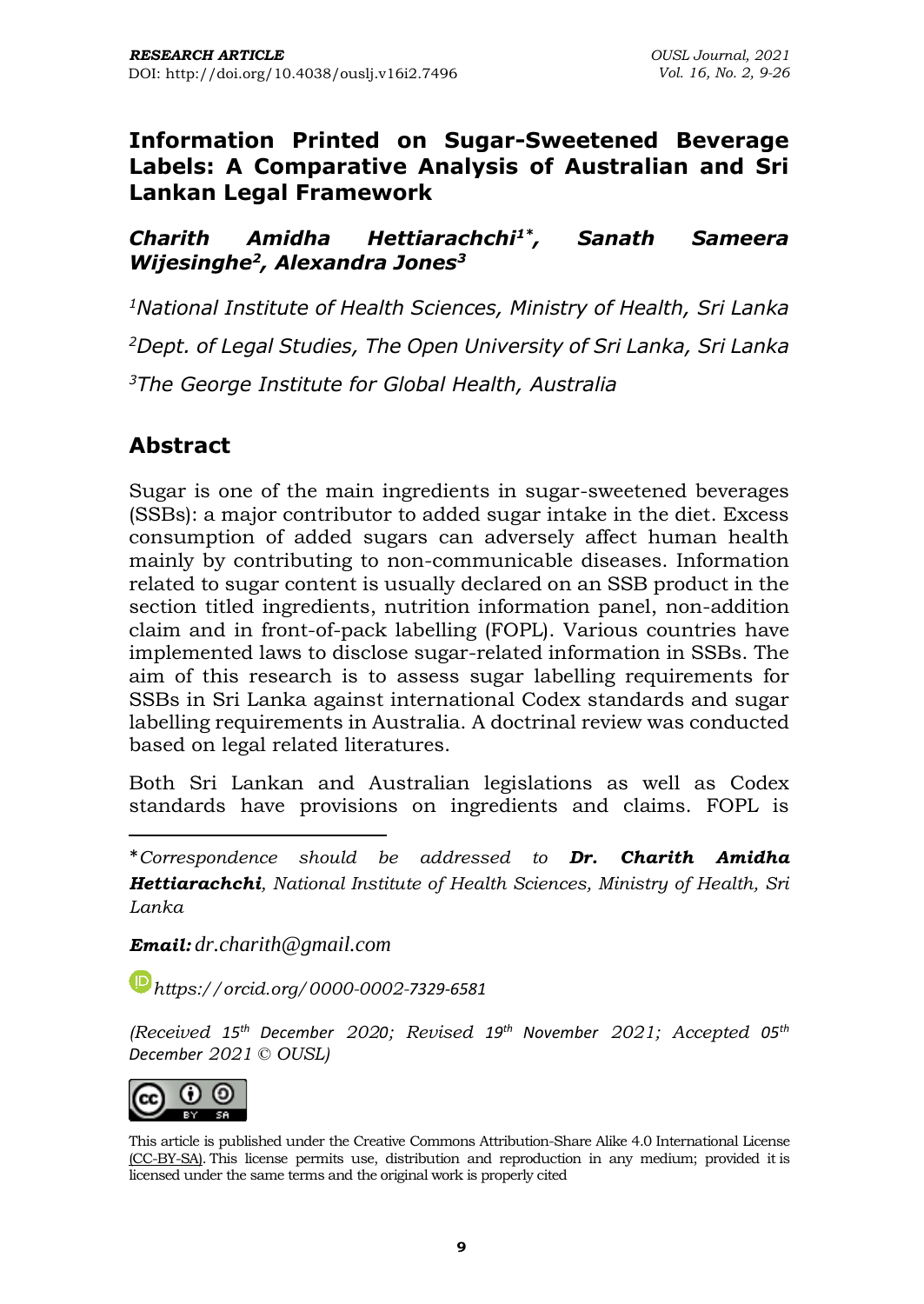### **Information Printed on Sugar-Sweetened Beverage Labels: A Comparative Analysis of Australian and Sri Lankan Legal Framework**

*Charith Amidha Hettiarachchi1\* , Sanath Sameera Wijesinghe<sup>2</sup> , Alexandra Jones<sup>3</sup>*

*<sup>1</sup>National Institute of Health Sciences, Ministry of Health, Sri Lanka <sup>2</sup>Dept. of Legal Studies, The Open University of Sri Lanka, Sri Lanka <sup>3</sup>The George Institute for Global Health, Australia*

## **Abstract**

Sugar is one of the main ingredients in sugar-sweetened beverages (SSBs): a major contributor to added sugar intake in the diet. Excess consumption of added sugars can adversely affect human health mainly by contributing to non-communicable diseases. Information related to sugar content is usually declared on an SSB product in the section titled ingredients, nutrition information panel, non-addition claim and in front-of-pack labelling (FOPL). Various countries have implemented laws to disclose sugar-related information in SSBs. The aim of this research is to assess sugar labelling requirements for SSBs in Sri Lanka against international Codex standards and sugar labelling requirements in Australia. A doctrinal review was conducted based on legal related literatures.

Both Sri Lankan and Australian legislations as well as Codex standards have provisions on ingredients and claims. FOPL is

\**Correspondence should be addressed to Dr. Charith Amidha Hettiarachchi, National Institute of Health Sciences, Ministry of Health, Sri Lanka*

*Email: [dr.charith@gmail.com](mailto:dr.charith@gmail.com)*

*[https://orcid.org/0](https://orcid.org/)000-0002-7329-6581*

*(Received 15th December 2020; Revised 19 th November 2021; Accepted 05 th December 2021 © OUSL)*



This article is published under the Creative Commons [Attribution-Share](http://creativecommons.org/licenses/by-sa/4.0/) Alike 4.0 International License (CC-BY-SA). This license permits use, distribution and reproduction in any medium; provided it is licensed under the same terms and the original work is properly cited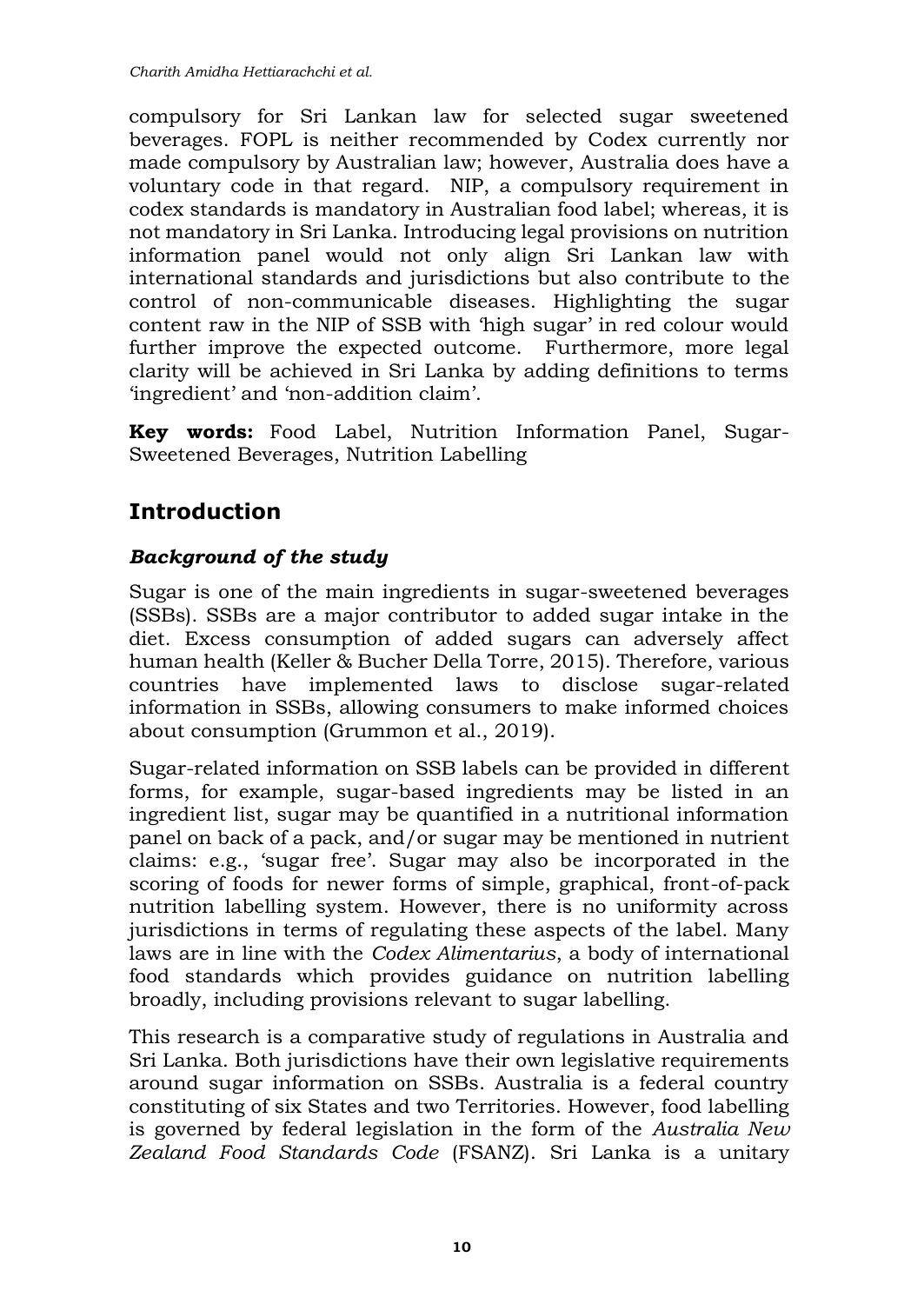compulsory for Sri Lankan law for selected sugar sweetened beverages. FOPL is neither recommended by Codex currently nor made compulsory by Australian law; however, Australia does have a voluntary code in that regard. NIP, a compulsory requirement in codex standards is mandatory in Australian food label; whereas, it is not mandatory in Sri Lanka. Introducing legal provisions on nutrition information panel would not only align Sri Lankan law with international standards and jurisdictions but also contribute to the control of non-communicable diseases. Highlighting the sugar content raw in the NIP of SSB with 'high sugar' in red colour would further improve the expected outcome. Furthermore, more legal clarity will be achieved in Sri Lanka by adding definitions to terms 'ingredient' and 'non-addition claim'.

**Key words:** Food Label, Nutrition Information Panel, Sugar-Sweetened Beverages, Nutrition Labelling

# **Introduction**

### *Background of the study*

Sugar is one of the main ingredients in sugar-sweetened beverages (SSBs). SSBs are a major contributor to added sugar intake in the diet. Excess consumption of added sugars can adversely affect human health (Keller & Bucher Della Torre, 2015). Therefore, various countries have implemented laws to disclose sugar-related information in SSBs, allowing consumers to make informed choices about consumption (Grummon et al., 2019).

Sugar-related information on SSB labels can be provided in different forms, for example, sugar-based ingredients may be listed in an ingredient list, sugar may be quantified in a nutritional information panel on back of a pack, and/or sugar may be mentioned in nutrient claims: e.g., 'sugar free'. Sugar may also be incorporated in the scoring of foods for newer forms of simple, graphical, front-of-pack nutrition labelling system. However, there is no uniformity across jurisdictions in terms of regulating these aspects of the label. Many laws are in line with the *Codex Alimentarius*, a body of international food standards which provides guidance on nutrition labelling broadly, including provisions relevant to sugar labelling.

This research is a comparative study of regulations in Australia and Sri Lanka. Both jurisdictions have their own legislative requirements around sugar information on SSBs. Australia is a federal country constituting of six States and two Territories. However, food labelling is governed by federal legislation in the form of the *Australia New Zealand Food Standards Code* (FSANZ). Sri Lanka is a unitary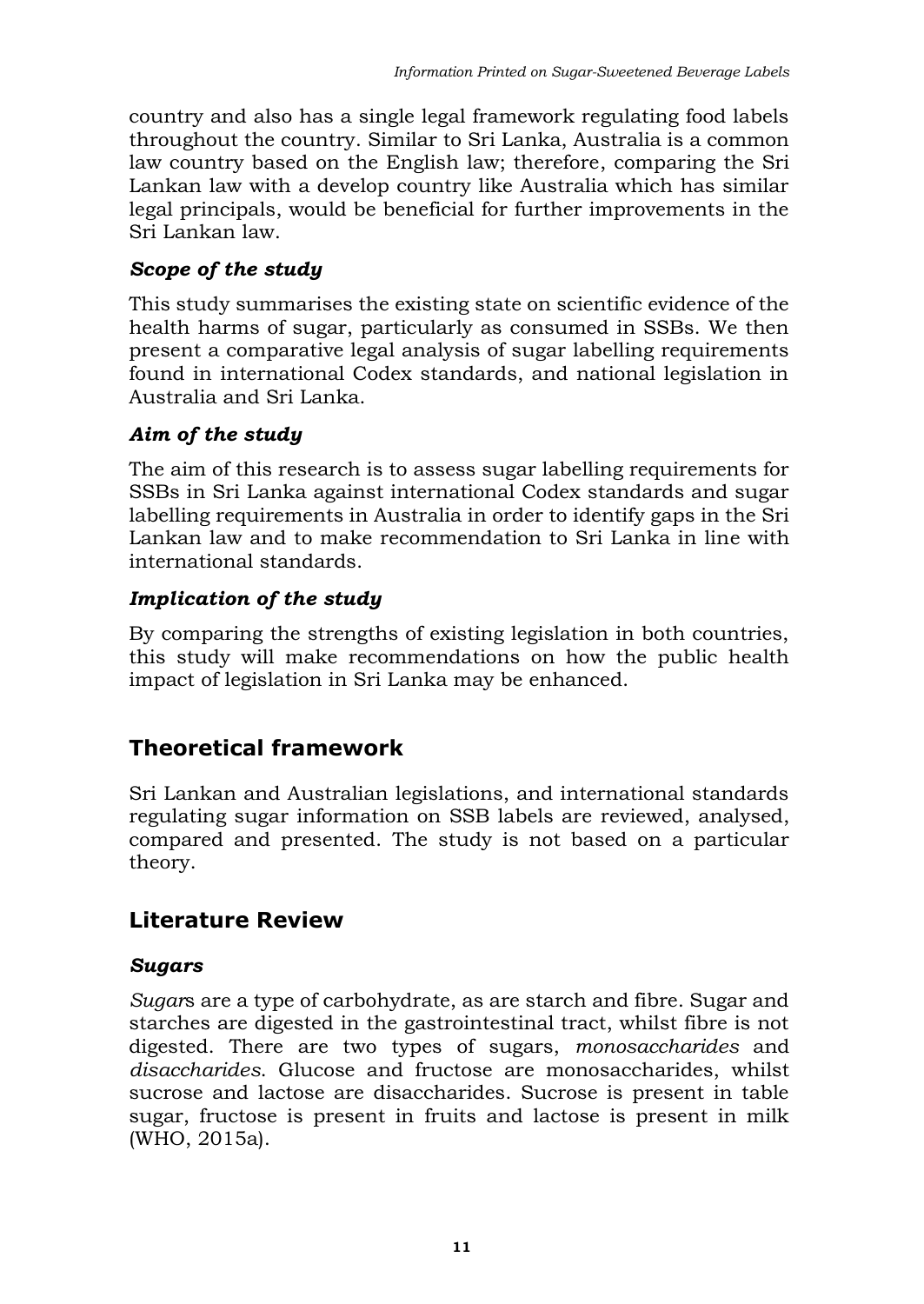country and also has a single legal framework regulating food labels throughout the country. Similar to Sri Lanka, Australia is a common law country based on the English law; therefore, comparing the Sri Lankan law with a develop country like Australia which has similar legal principals, would be beneficial for further improvements in the Sri Lankan law.

### *Scope of the study*

This study summarises the existing state on scientific evidence of the health harms of sugar, particularly as consumed in SSBs. We then present a comparative legal analysis of sugar labelling requirements found in international Codex standards, and national legislation in Australia and Sri Lanka.

### *Aim of the study*

The aim of this research is to assess sugar labelling requirements for SSBs in Sri Lanka against international Codex standards and sugar labelling requirements in Australia in order to identify gaps in the Sri Lankan law and to make recommendation to Sri Lanka in line with international standards.

### *Implication of the study*

By comparing the strengths of existing legislation in both countries, this study will make recommendations on how the public health impact of legislation in Sri Lanka may be enhanced.

## **Theoretical framework**

Sri Lankan and Australian legislations, and international standards regulating sugar information on SSB labels are reviewed, analysed, compared and presented. The study is not based on a particular theory.

### **Literature Review**

### *Sugars*

*Sugar*s are a type of carbohydrate, as are starch and fibre. Sugar and starches are digested in the gastrointestinal tract, whilst fibre is not digested. There are two types of sugars, *monosaccharides* and *disaccharides*. Glucose and fructose are monosaccharides, whilst sucrose and lactose are disaccharides. Sucrose is present in table sugar, fructose is present in fruits and lactose is present in milk (WHO, 2015a).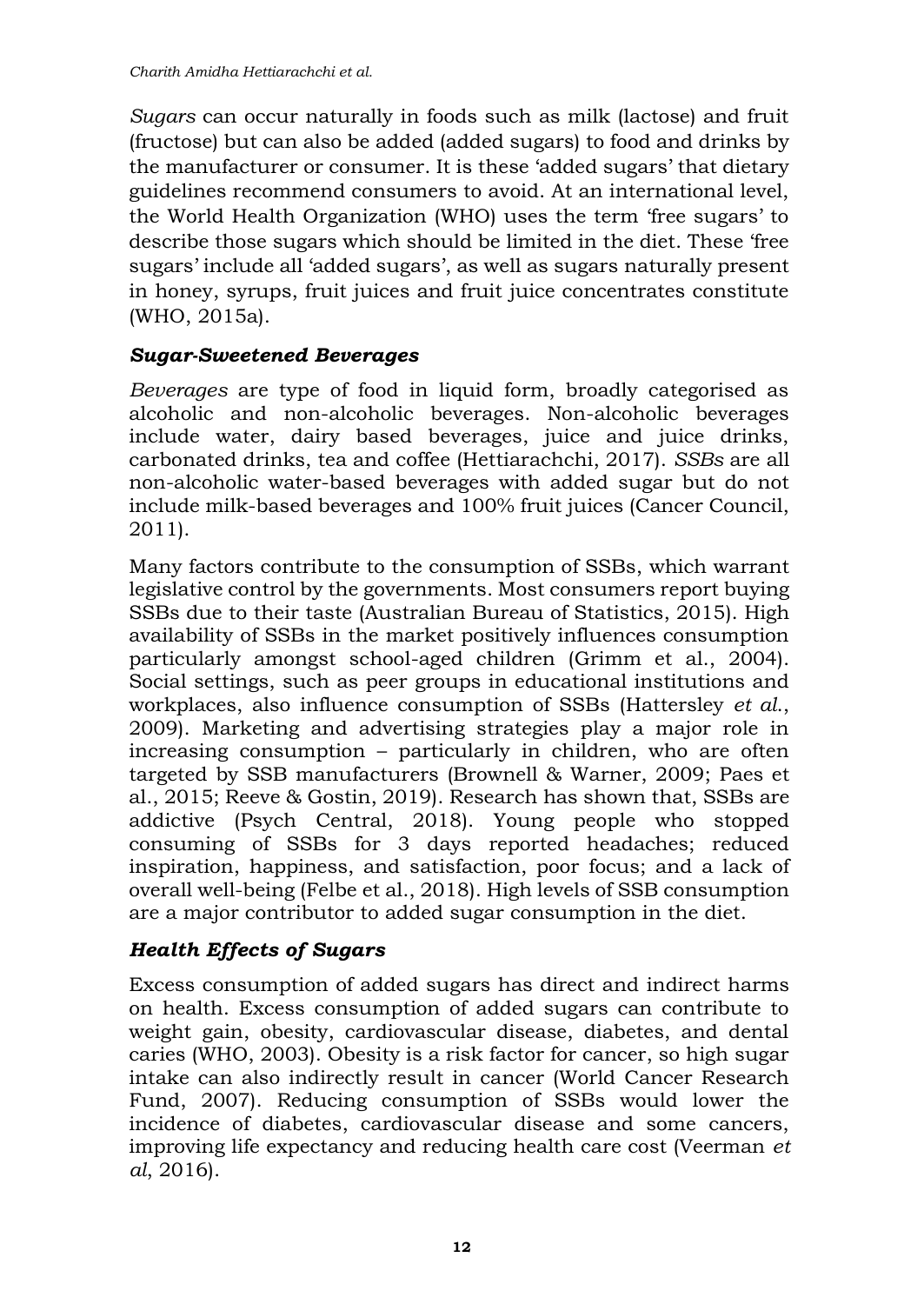*Sugars* can occur naturally in foods such as milk (lactose) and fruit (fructose) but can also be added (added sugars) to food and drinks by the manufacturer or consumer. It is these 'added sugars' that dietary guidelines recommend consumers to avoid. At an international level, the World Health Organization (WHO) uses the term 'free sugars' to describe those sugars which should be limited in the diet. These 'free sugars' include all 'added sugars', as well as sugars naturally present in honey, syrups, fruit juices and fruit juice concentrates constitute (WHO, 2015a).

#### *Sugar-Sweetened Beverages*

*Beverages* are type of food in liquid form, broadly categorised as alcoholic and non-alcoholic beverages. Non-alcoholic beverages include water, dairy based beverages, juice and juice drinks, carbonated drinks, tea and coffee (Hettiarachchi, 2017). *SSBs* are all non-alcoholic water-based beverages with added sugar but do not include milk-based beverages and 100% fruit juices (Cancer Council, 2011).

Many factors contribute to the consumption of SSBs, which warrant legislative control by the governments. Most consumers report buying SSBs due to their taste (Australian Bureau of Statistics, 2015). High availability of SSBs in the market positively influences consumption particularly amongst school-aged children (Grimm et al., 2004). Social settings, such as peer groups in educational institutions and workplaces, also influence consumption of SSBs (Hattersley *et al*., 2009). Marketing and advertising strategies play a major role in increasing consumption – particularly in children, who are often targeted by SSB manufacturers (Brownell & Warner, 2009; Paes et al., 2015; Reeve & Gostin, 2019). Research has shown that, SSBs are addictive (Psych Central, 2018). Young people who stopped consuming of SSBs for 3 days reported headaches; reduced inspiration, happiness, and satisfaction, poor focus; and a lack of overall well-being (Felbe et al., 2018). High levels of SSB consumption are a major contributor to added sugar consumption in the diet.

### *Health Effects of Sugars*

Excess consumption of added sugars has direct and indirect harms on health. Excess consumption of added sugars can contribute to weight gain, obesity, cardiovascular disease, diabetes, and dental caries (WHO, 2003). Obesity is a risk factor for cancer, so high sugar intake can also indirectly result in cancer (World Cancer Research Fund, 2007). Reducing consumption of SSBs would lower the incidence of diabetes, cardiovascular disease and some cancers, improving life expectancy and reducing health care cost (Veerman *et al*, 2016).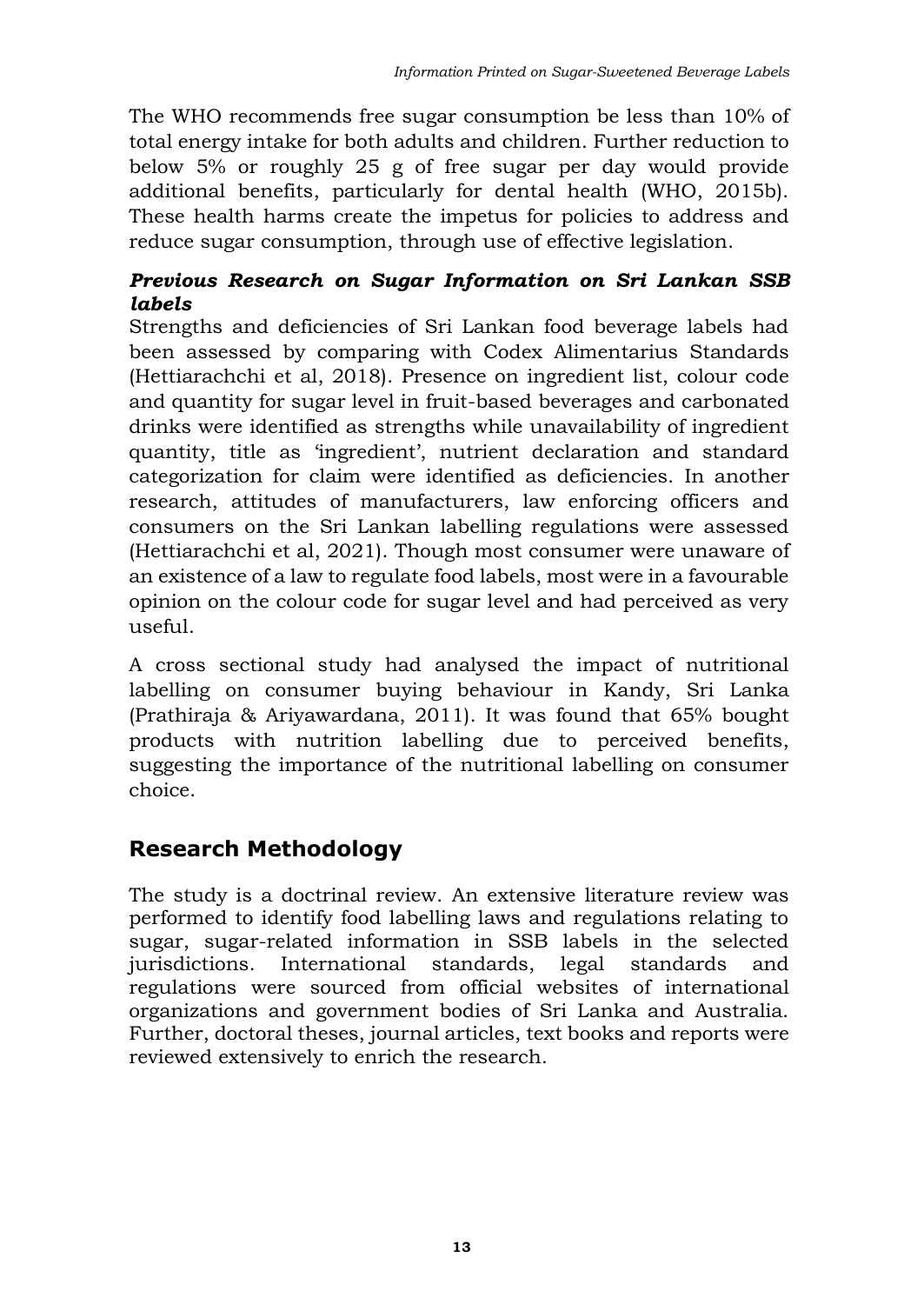The WHO recommends free sugar consumption be less than 10% of total energy intake for both adults and children. Further reduction to below 5% or roughly 25 g of free sugar per day would provide additional benefits, particularly for dental health (WHO, 2015b). These health harms create the impetus for policies to address and reduce sugar consumption, through use of effective legislation.

#### *Previous Research on Sugar Information on Sri Lankan SSB labels*

Strengths and deficiencies of Sri Lankan food beverage labels had been assessed by comparing with Codex Alimentarius Standards (Hettiarachchi et al, 2018). Presence on ingredient list, colour code and quantity for sugar level in fruit-based beverages and carbonated drinks were identified as strengths while unavailability of ingredient quantity, title as 'ingredient', nutrient declaration and standard categorization for claim were identified as deficiencies. In another research, attitudes of manufacturers, law enforcing officers and consumers on the Sri Lankan labelling regulations were assessed (Hettiarachchi et al, 2021). Though most consumer were unaware of an existence of a law to regulate food labels, most were in a favourable opinion on the colour code for sugar level and had perceived as very useful.

A cross sectional study had analysed the impact of nutritional labelling on consumer buying behaviour in Kandy, Sri Lanka (Prathiraja & Ariyawardana, 2011). It was found that 65% bought products with nutrition labelling due to perceived benefits, suggesting the importance of the nutritional labelling on consumer choice.

## **Research Methodology**

The study is a doctrinal review. An extensive literature review was performed to identify food labelling laws and regulations relating to sugar, sugar-related information in SSB labels in the selected jurisdictions. International standards, legal standards and regulations were sourced from official websites of international organizations and government bodies of Sri Lanka and Australia. Further, doctoral theses, journal articles, text books and reports were reviewed extensively to enrich the research.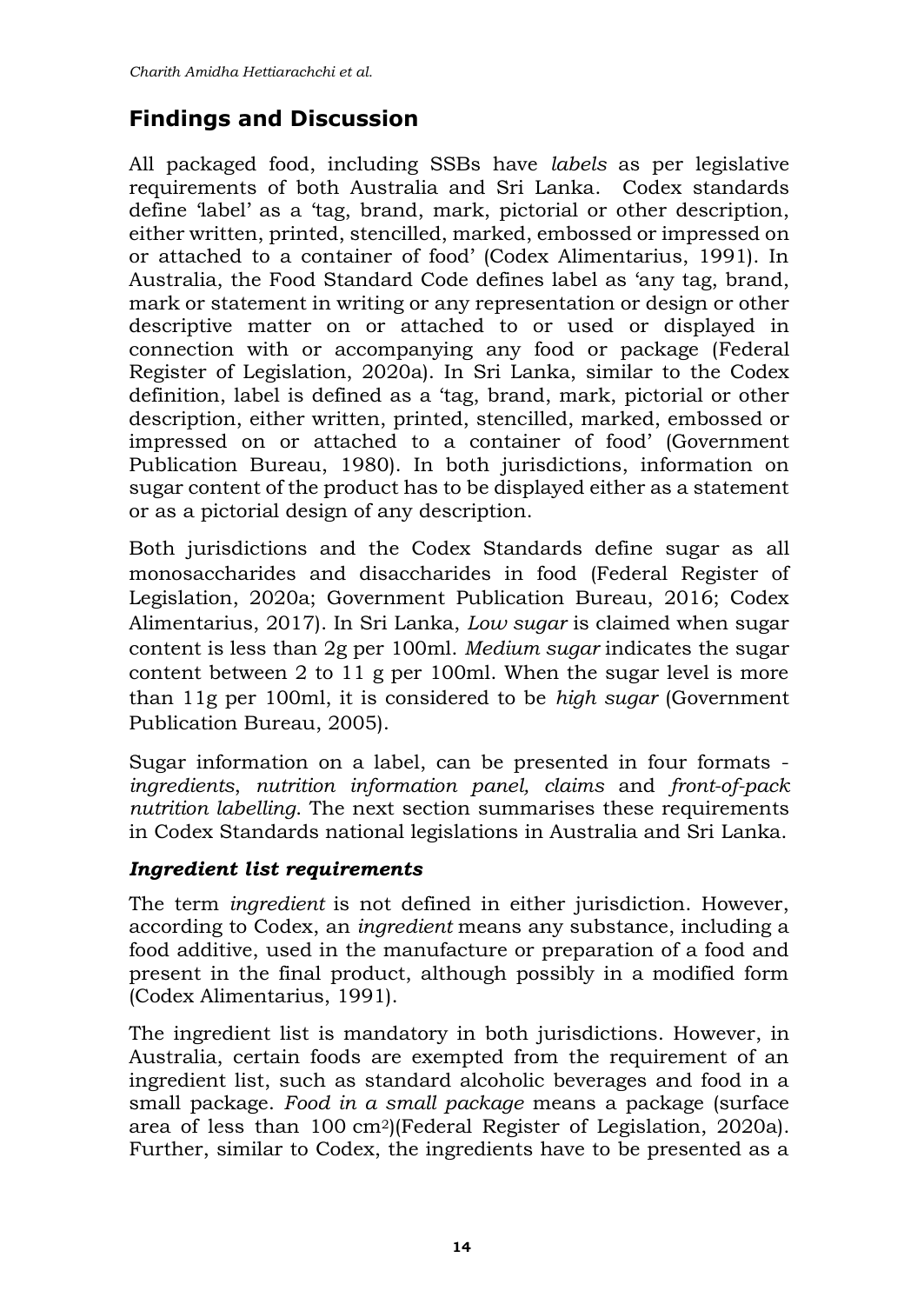## **Findings and Discussion**

All packaged food, including SSBs have *labels* as per legislative requirements of both Australia and Sri Lanka. Codex standards define 'label' as a 'tag, brand, mark, pictorial or other description, either written, printed, stencilled, marked, embossed or impressed on or attached to a container of food' (Codex Alimentarius, 1991). In Australia, the Food Standard Code defines label as 'any tag, brand, mark or statement in writing or any representation or design or other descriptive matter on or attached to or used or displayed in connection with or accompanying any food or package (Federal Register of Legislation, 2020a). In Sri Lanka, similar to the Codex definition, label is defined as a 'tag, brand, mark, pictorial or other description, either written, printed, stencilled, marked, embossed or impressed on or attached to a container of food' (Government Publication Bureau, 1980). In both jurisdictions, information on sugar content of the product has to be displayed either as a statement or as a pictorial design of any description.

Both jurisdictions and the Codex Standards define sugar as all monosaccharides and disaccharides in food (Federal Register of Legislation, 2020a; Government Publication Bureau, 2016; Codex Alimentarius, 2017). In Sri Lanka, *Low sugar* is claimed when sugar content is less than 2g per 100ml. *Medium sugar* indicates the sugar content between 2 to 11 g per 100ml. When the sugar level is more than 11g per 100ml, it is considered to be *high sugar* (Government Publication Bureau, 2005).

Sugar information on a label, can be presented in four formats *ingredients*, *nutrition information panel, claims* and *front-of-pack nutrition labelling*. The next section summarises these requirements in Codex Standards national legislations in Australia and Sri Lanka.

### *Ingredient list requirements*

The term *ingredient* is not defined in either jurisdiction. However, according to Codex, an *ingredient* means any substance, including a food additive, used in the manufacture or preparation of a food and present in the final product, although possibly in a modified form (Codex Alimentarius, 1991).

The ingredient list is mandatory in both jurisdictions. However, in Australia, certain foods are exempted from the requirement of an ingredient list, such as standard alcoholic beverages and food in a small package. *Food in a small package* means a package (surface area of less than 100 cm2)(Federal Register of Legislation, 2020a). Further, similar to Codex, the ingredients have to be presented as a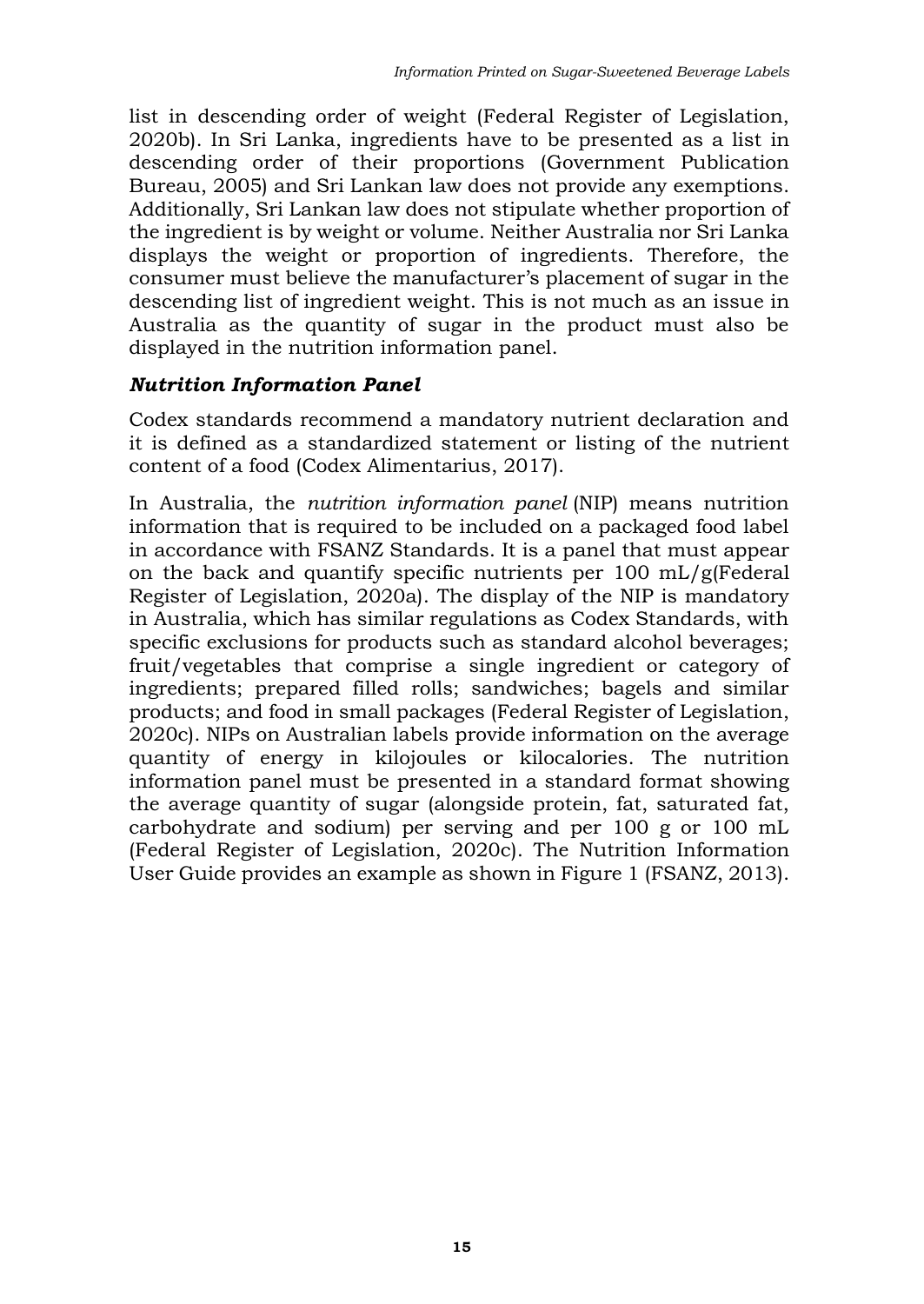list in descending order of weight (Federal Register of Legislation, 2020b). In Sri Lanka, ingredients have to be presented as a list in descending order of their proportions (Government Publication Bureau, 2005) and Sri Lankan law does not provide any exemptions. Additionally, Sri Lankan law does not stipulate whether proportion of the ingredient is by weight or volume. Neither Australia nor Sri Lanka displays the weight or proportion of ingredients. Therefore, the consumer must believe the manufacturer's placement of sugar in the descending list of ingredient weight. This is not much as an issue in Australia as the quantity of sugar in the product must also be displayed in the nutrition information panel.

#### *Nutrition Information Panel*

Codex standards recommend a mandatory nutrient declaration and it is defined as a standardized statement or listing of the nutrient content of a food (Codex Alimentarius, 2017).

In Australia, the *nutrition information panel* (NIP) means nutrition information that is required to be included on a packaged food label in accordance with FSANZ Standards. It is a panel that must appear on the back and quantify specific nutrients per 100 mL/g(Federal Register of Legislation,  $2020a$ ). The display of the NIP is mandatory in Australia, which has similar regulations as Codex Standards, with specific exclusions for products such as standard alcohol beverages; fruit/vegetables that comprise a single ingredient or category of ingredients; prepared filled rolls; sandwiches; bagels and similar products; and food in small packages (Federal Register of Legislation, 2020c). NIPs on Australian labels provide information on the average quantity of energy in kilojoules or kilocalories. The nutrition information panel must be presented in a standard format showing the average quantity of sugar (alongside protein, fat, saturated fat, carbohydrate and sodium) per serving and per 100 g or 100 mL (Federal Register of Legislation, 2020c). The Nutrition Information User Guide provides an example as shown in Figure 1 (FSANZ, 2013).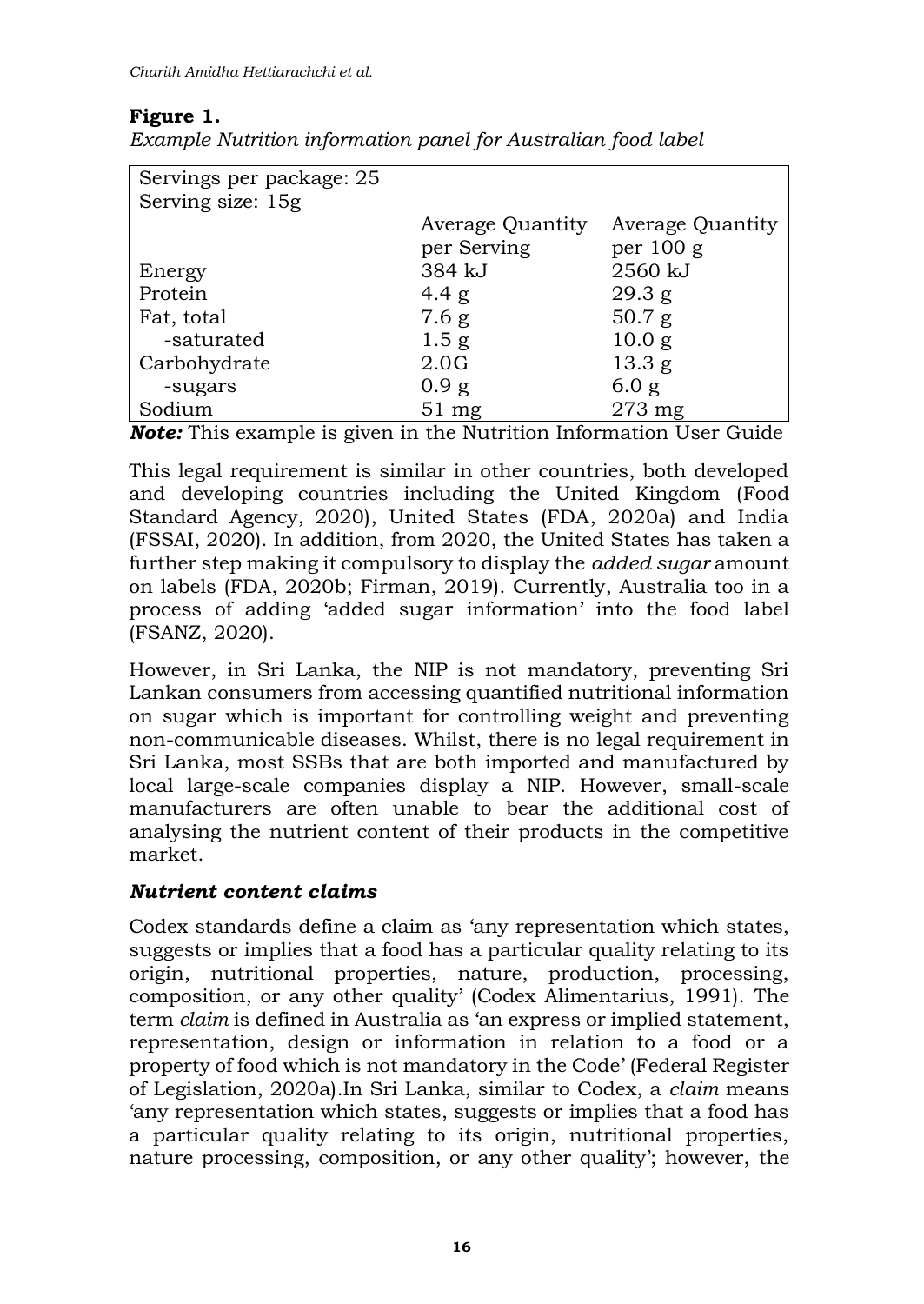### **Figure 1.**

| Servings per package: 25 |                  |                   |
|--------------------------|------------------|-------------------|
| Serving size: 15g        |                  |                   |
|                          | Average Quantity | Average Quantity  |
|                          | per Serving      | per $100 g$       |
| Energy                   | 384 kJ           | 2560 kJ           |
| Protein                  | 4.4 $g$          | 29.3 g            |
| Fat, total               | 7.6 g            | 50.7 g            |
| -saturated               | 1.5 <sub>g</sub> | 10.0 g            |
| Carbohydrate             | 2.0G             | 13.3 <sub>g</sub> |
| -sugars                  | 0.9 g            | 6.0 g             |
| Sodium                   | $51 \text{ mg}$  | $273$ mg          |

*Example Nutrition information panel for Australian food label*

*Note:* This example is given in the Nutrition Information User Guide

This legal requirement is similar in other countries, both developed and developing countries including the United Kingdom (Food Standard Agency, 2020), United States (FDA, 2020a) and India (FSSAI, 2020). In addition, from 2020, the United States has taken a further step making it compulsory to display the *added sugar* amount on labels (FDA, 2020b; Firman, 2019). Currently, Australia too in a process of adding 'added sugar information' into the food label (FSANZ, 2020).

However, in Sri Lanka, the NIP is not mandatory, preventing Sri Lankan consumers from accessing quantified nutritional information on sugar which is important for controlling weight and preventing non-communicable diseases. Whilst, there is no legal requirement in Sri Lanka, most SSBs that are both imported and manufactured by local large-scale companies display a NIP. However, small-scale manufacturers are often unable to bear the additional cost of analysing the nutrient content of their products in the competitive market.

### *Nutrient content claims*

Codex standards define a claim as 'any representation which states, suggests or implies that a food has a particular quality relating to its origin, nutritional properties, nature, production, processing, composition, or any other quality' (Codex Alimentarius, 1991). The term *claim* is defined in Australia as 'an express or implied statement, representation, design or information in relation to a food or a property of food which is not mandatory in the Code' (Federal Register of Legislation, 2020a).In Sri Lanka, similar to Codex, a *claim* means 'any representation which states, suggests or implies that a food has a particular quality relating to its origin, nutritional properties, nature processing, composition, or any other quality'; however, the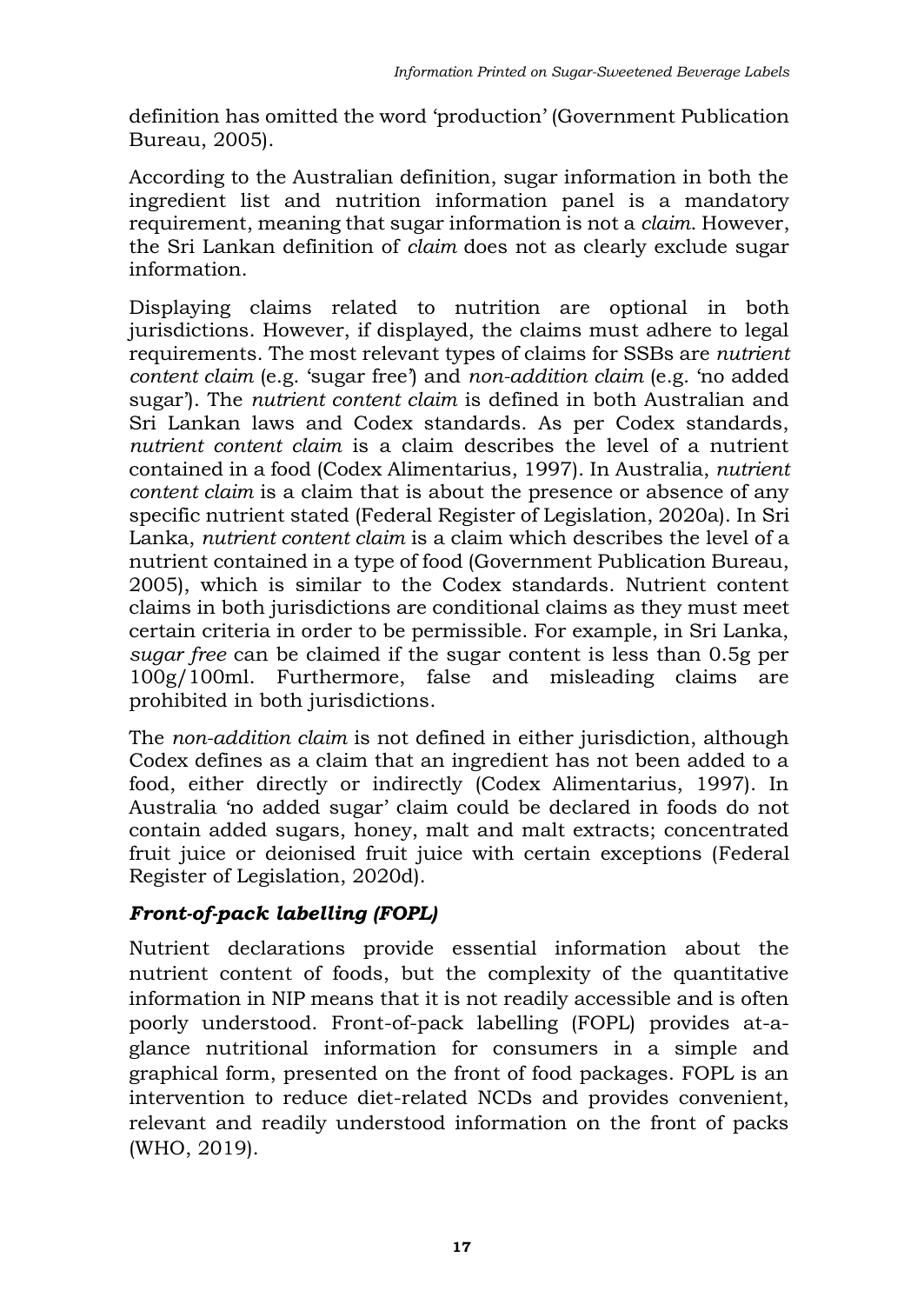definition has omitted the word 'production' (Government Publication Bureau, 2005).

According to the Australian definition, sugar information in both the ingredient list and nutrition information panel is a mandatory requirement, meaning that sugar information is not a *claim*. However, the Sri Lankan definition of *claim* does not as clearly exclude sugar information.

Displaying claims related to nutrition are optional in both jurisdictions. However, if displayed, the claims must adhere to legal requirements. The most relevant types of claims for SSBs are *nutrient content claim* (e.g. 'sugar free') and *non-addition claim* (e.g. 'no added sugar'). The *nutrient content claim* is defined in both Australian and Sri Lankan laws and Codex standards. As per Codex standards, *nutrient content claim* is a claim describes the level of a nutrient contained in a food (Codex Alimentarius, 1997). In Australia, *nutrient content claim* is a claim that is about the presence or absence of any specific nutrient stated (Federal Register of Legislation, 2020a). In Sri Lanka, *nutrient content claim* is a claim which describes the level of a nutrient contained in a type of food (Government Publication Bureau, 2005), which is similar to the Codex standards. Nutrient content claims in both jurisdictions are conditional claims as they must meet certain criteria in order to be permissible. For example, in Sri Lanka, *sugar free* can be claimed if the sugar content is less than 0.5g per 100g/100ml. Furthermore, false and misleading claims are prohibited in both jurisdictions.

The *non-addition claim* is not defined in either jurisdiction, although Codex defines as a claim that an ingredient has not been added to a food, either directly or indirectly (Codex Alimentarius, 1997). In Australia 'no added sugar' claim could be declared in foods do not contain added sugars, honey, malt and malt extracts; concentrated fruit juice or deionised fruit juice with certain exceptions (Federal Register of Legislation, 2020d).

### *Front-of-pack labelling (FOPL)*

Nutrient declarations provide essential information about the nutrient content of foods, but the complexity of the quantitative information in NIP means that it is not readily accessible and is often poorly understood. Front-of-pack labelling (FOPL) provides at-aglance nutritional information for consumers in a simple and graphical form, presented on the front of food packages. FOPL is an intervention to reduce diet-related NCDs and provides convenient, relevant and readily understood information on the front of packs (WHO, 2019).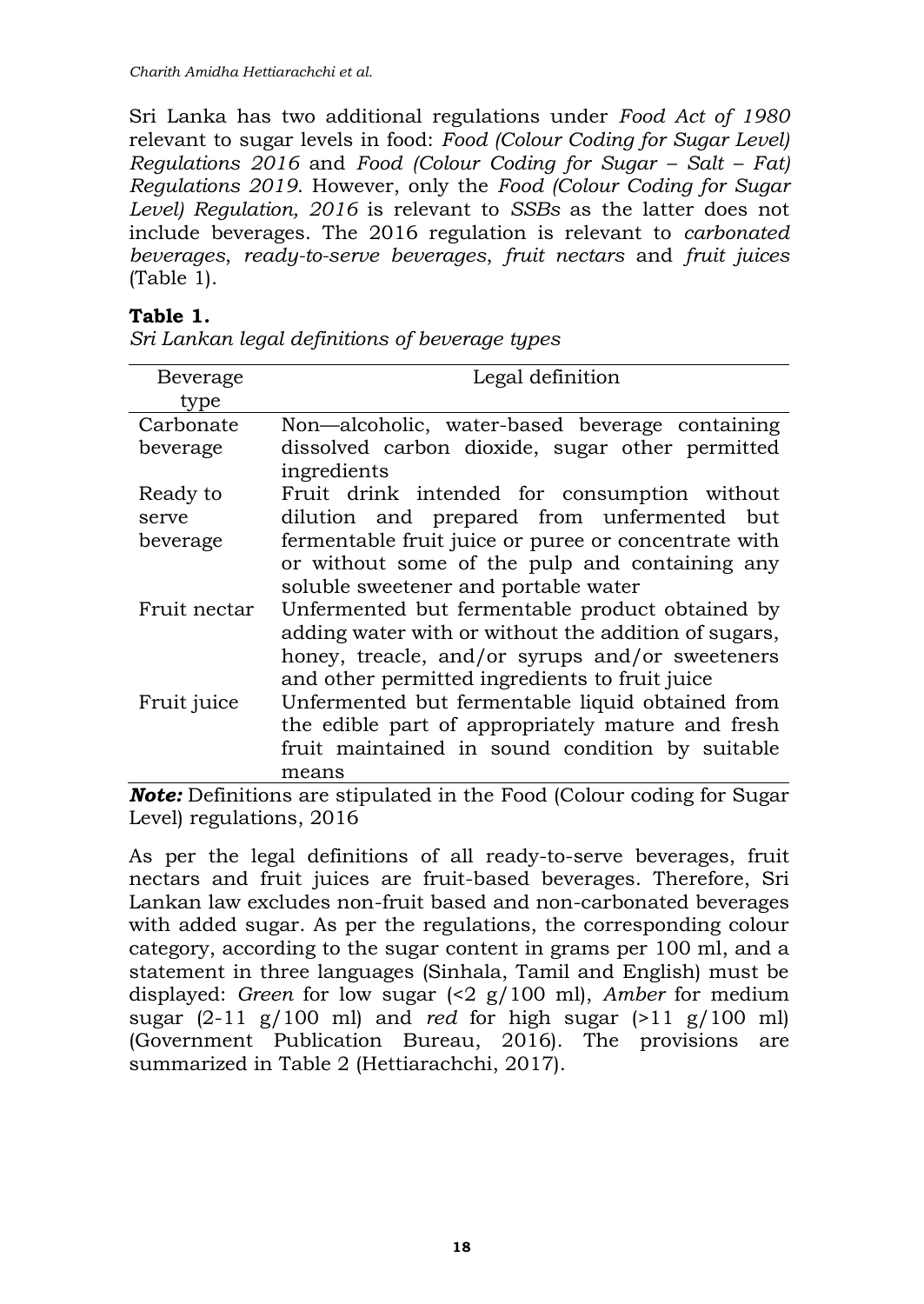Sri Lanka has two additional regulations under *Food Act of 1980* relevant to sugar levels in food: *Food (Colour Coding for Sugar Level) Regulations 2016 and Food (Colour Coding for Sugar – Salt – Fat) Regulations 2019*. However, only the *Food (Colour Coding for Sugar Level) Regulation, 2016* is relevant to *SSBs* as the latter does not include beverages. The 2016 regulation is relevant to *carbonated beverages*, *ready-to-serve beverages*, *fruit nectars* and *fruit juices*  (Table 1).

### **Table 1.**

| Beverage                                     | Legal definition                                     |
|----------------------------------------------|------------------------------------------------------|
| type                                         |                                                      |
| Carbonate                                    | Non—alcoholic, water-based beverage containing       |
| beverage                                     | dissolved carbon dioxide, sugar other permitted      |
|                                              | ingredients                                          |
| Ready to                                     | Fruit drink intended for consumption without         |
| serve                                        | dilution and prepared from unfermented but           |
| beverage                                     | fermentable fruit juice or puree or concentrate with |
|                                              | or without some of the pulp and containing any       |
|                                              | soluble sweetener and portable water                 |
| Fruit nectar                                 | Unfermented but fermentable product obtained by      |
|                                              | adding water with or without the addition of sugars, |
|                                              | honey, treacle, and/or syrups and/or sweeteners      |
|                                              | and other permitted ingredients to fruit juice       |
| Fruit juice                                  | Unfermented but fermentable liquid obtained from     |
|                                              | the edible part of appropriately mature and fresh    |
|                                              | fruit maintained in sound condition by suitable      |
|                                              | means                                                |
| $\mathbf{r}$ is the contract of $\mathbf{r}$ | $1.11.1$ $1.01.1$                                    |

*Sri Lankan legal definitions of beverage types*

*Note:* Definitions are stipulated in the Food (Colour coding for Sugar Level) regulations, 2016

As per the legal definitions of all ready-to-serve beverages, fruit nectars and fruit juices are fruit-based beverages. Therefore, Sri Lankan law excludes non-fruit based and non-carbonated beverages with added sugar. As per the regulations, the corresponding colour category, according to the sugar content in grams per 100 ml, and a statement in three languages (Sinhala, Tamil and English) must be displayed: *Green* for low sugar (<2 g/100 ml), *Amber* for medium sugar (2-11 g/100 ml) and *red* for high sugar (>11 g/100 ml) (Government Publication Bureau, 2016). The provisions are summarized in Table 2 (Hettiarachchi, 2017).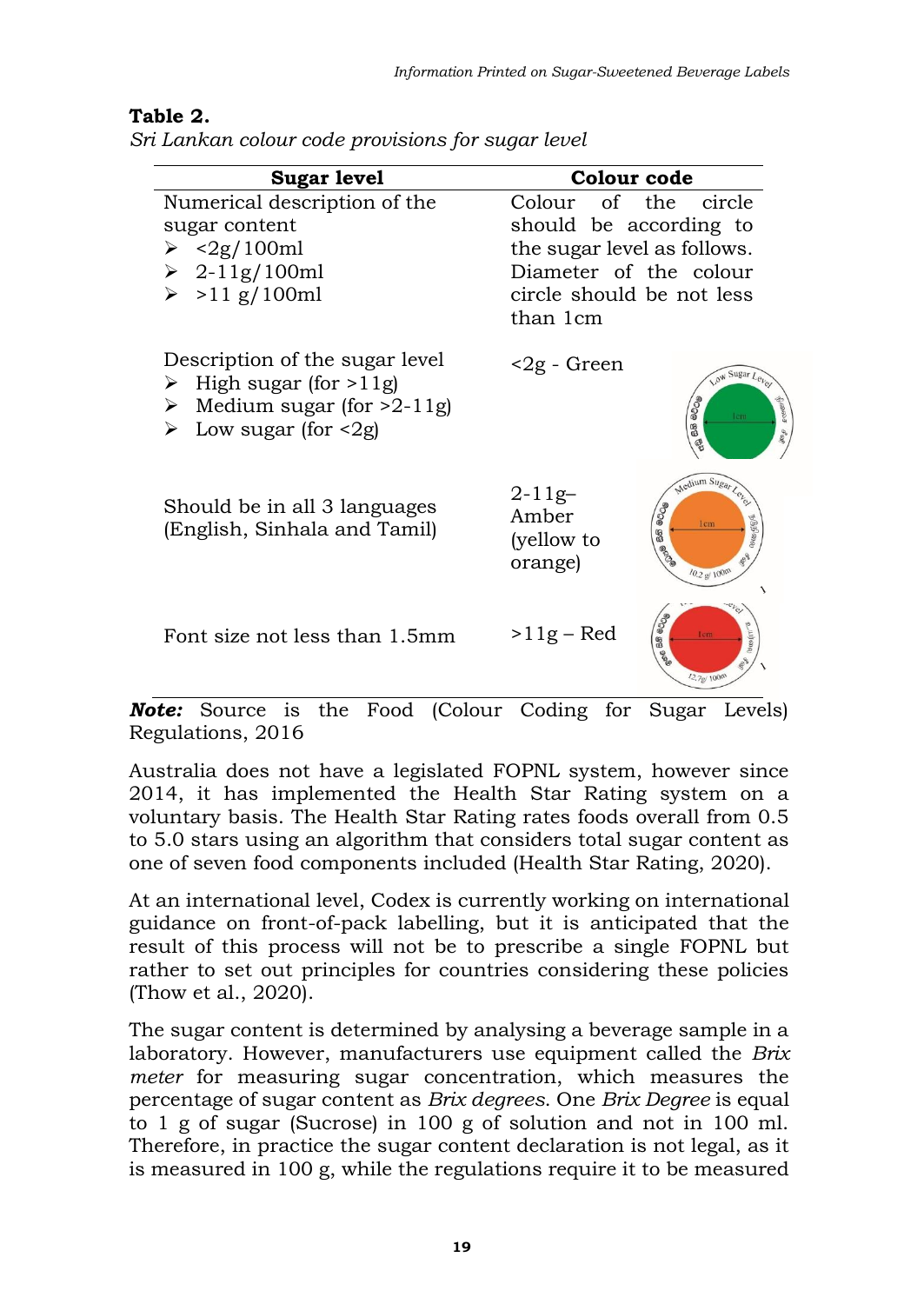| <b>Sugar level</b>                                                                                                                               | Colour code                                                                                                                                         |
|--------------------------------------------------------------------------------------------------------------------------------------------------|-----------------------------------------------------------------------------------------------------------------------------------------------------|
| Numerical description of the<br>sugar content<br>$\geq$ <2g/100ml<br>$\geq 2 - 11g/100ml$<br>>11 g/100 ml<br>➤                                   | Colour of the<br>circle<br>should be according to<br>the sugar level as follows.<br>Diameter of the colour<br>circle should be not less<br>than 1cm |
| Description of the sugar level<br>High sugar (for $>11g$ )<br>➤<br>Medium sugar (for $>2-11$ g)<br>➤<br>Low sugar (for $\langle 2g \rangle$<br>⋗ | <2g - Green<br>Low Sugar Level<br>நிலைச<br>8008<br><b>Jon</b><br>68<br>ę                                                                            |
| Should be in all 3 languages<br>(English, Sinhala and Tamil)                                                                                     | Medium Sugar Let<br>$2 - 11g -$<br>මට්ටම<br>Amber<br>முழிவ்ல<br>Icm<br>8<br>(yellow to<br>orange)<br>10.2 g/100m                                    |
| Font size not less than 1.5mm                                                                                                                    | $\bullet$<br>$>11g$ – Red<br><b>Secondrive</b><br>lem<br>88<br>l2.7g/100m                                                                           |

### **Table 2.**

*Sri Lankan colour code provisions for sugar level*

*Note:* Source is the Food (Colour Coding for Sugar Levels) Regulations, 2016

Australia does not have a legislated FOPNL system, however since 2014, it has implemented the Health Star Rating system on a voluntary basis. The Health Star Rating rates foods overall from 0.5 to 5.0 stars using an algorithm that considers total sugar content as one of seven food components included (Health Star Rating, 2020).

At an international level, Codex is currently working on international guidance on front-of-pack labelling, but it is anticipated that the result of this process will not be to prescribe a single FOPNL but rather to set out principles for countries considering these policies (Thow et al., 2020).

The sugar content is determined by analysing a beverage sample in a laboratory. However, manufacturers use equipment called the *Brix meter* for measuring sugar concentration, which measures the percentage of sugar content as *Brix degrees*. One *Brix Degree* is equal to 1 g of sugar (Sucrose) in 100 g of solution and not in 100 ml. Therefore, in practice the sugar content declaration is not legal, as it is measured in 100 g, while the regulations require it to be measured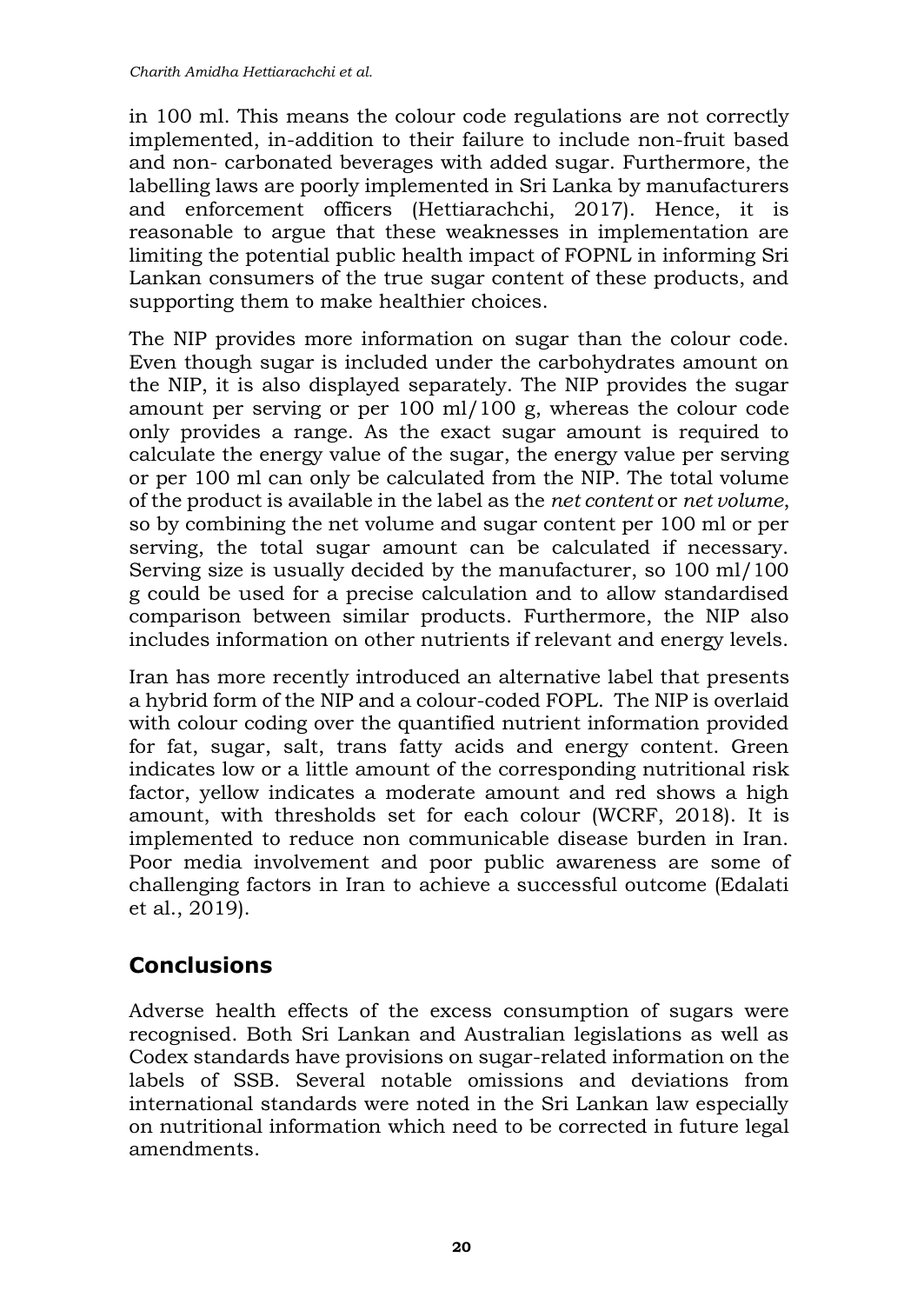in 100 ml. This means the colour code regulations are not correctly implemented, in-addition to their failure to include non-fruit based and non- carbonated beverages with added sugar. Furthermore, the labelling laws are poorly implemented in Sri Lanka by manufacturers and enforcement officers (Hettiarachchi, 2017). Hence, it is reasonable to argue that these weaknesses in implementation are limiting the potential public health impact of FOPNL in informing Sri Lankan consumers of the true sugar content of these products, and supporting them to make healthier choices.

The NIP provides more information on sugar than the colour code. Even though sugar is included under the carbohydrates amount on the NIP, it is also displayed separately. The NIP provides the sugar amount per serving or per 100 ml/100 g, whereas the colour code only provides a range. As the exact sugar amount is required to calculate the energy value of the sugar, the energy value per serving or per 100 ml can only be calculated from the NIP. The total volume of the product is available in the label as the *net content* or *net volume*, so by combining the net volume and sugar content per 100 ml or per serving, the total sugar amount can be calculated if necessary. Serving size is usually decided by the manufacturer, so 100 ml/100 g could be used for a precise calculation and to allow standardised comparison between similar products. Furthermore, the NIP also includes information on other nutrients if relevant and energy levels.

Iran has more recently introduced an alternative label that presents a hybrid form of the NIP and a colour-coded FOPL. The NIP is overlaid with colour coding over the quantified nutrient information provided for fat, sugar, salt, trans fatty acids and energy content. Green indicates low or a little amount of the corresponding nutritional risk factor, yellow indicates a moderate amount and red shows a high amount, with thresholds set for each colour (WCRF, 2018). It is implemented to reduce non communicable disease burden in Iran. Poor media involvement and poor public awareness are some of challenging factors in Iran to achieve a successful outcome (Edalati et al., 2019).

# **Conclusions**

Adverse health effects of the excess consumption of sugars were recognised. Both Sri Lankan and Australian legislations as well as Codex standards have provisions on sugar-related information on the labels of SSB. Several notable omissions and deviations from international standards were noted in the Sri Lankan law especially on nutritional information which need to be corrected in future legal amendments.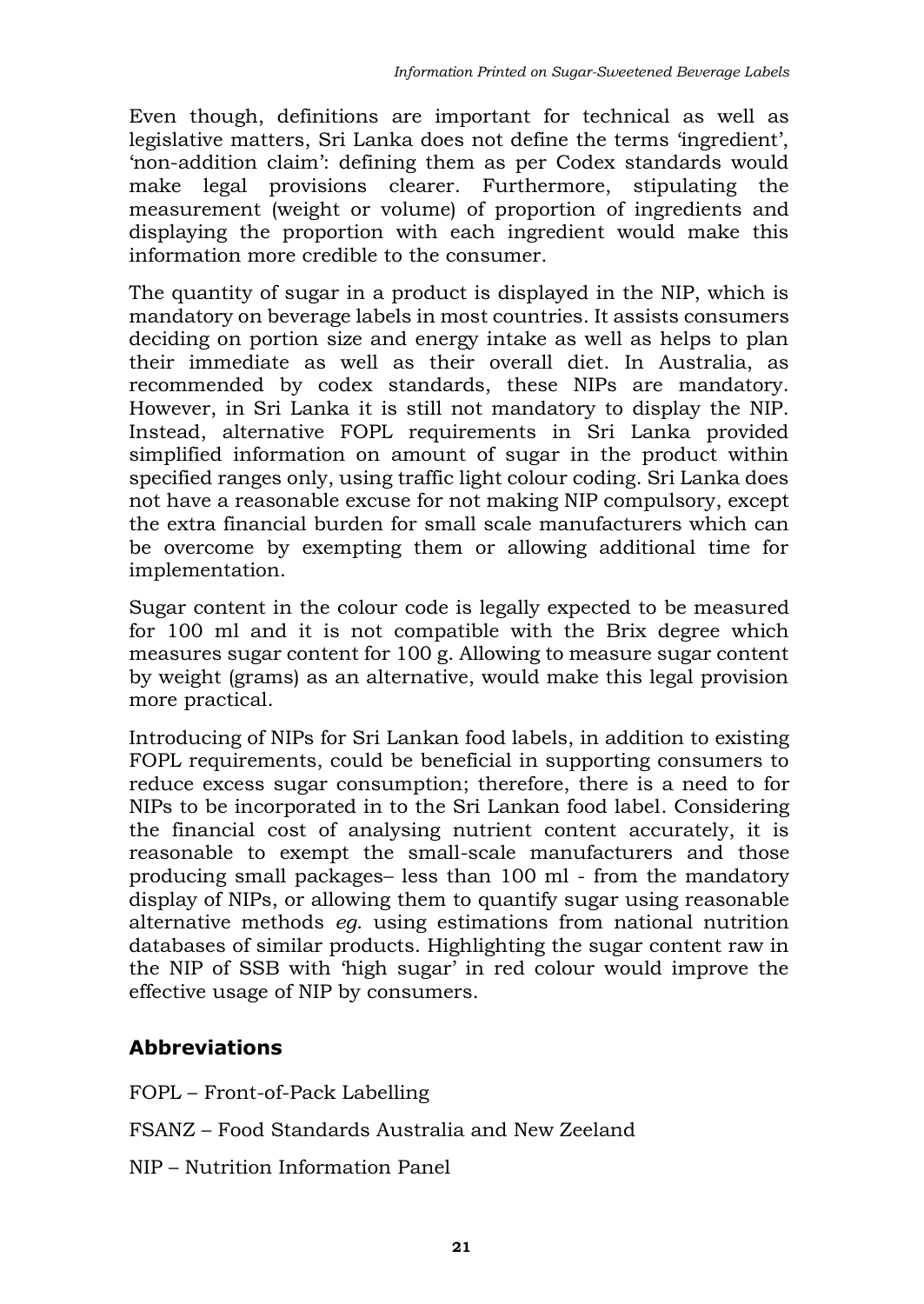Even though, definitions are important for technical as well as legislative matters, Sri Lanka does not define the terms 'ingredient', 'non-addition claim': defining them as per Codex standards would make legal provisions clearer. Furthermore, stipulating the measurement (weight or volume) of proportion of ingredients and displaying the proportion with each ingredient would make this information more credible to the consumer.

The quantity of sugar in a product is displayed in the NIP, which is mandatory on beverage labels in most countries. It assists consumers deciding on portion size and energy intake as well as helps to plan their immediate as well as their overall diet. In Australia, as recommended by codex standards, these NIPs are mandatory. However, in Sri Lanka it is still not mandatory to display the NIP. Instead, alternative FOPL requirements in Sri Lanka provided simplified information on amount of sugar in the product within specified ranges only, using traffic light colour coding. Sri Lanka does not have a reasonable excuse for not making NIP compulsory, except the extra financial burden for small scale manufacturers which can be overcome by exempting them or allowing additional time for implementation.

Sugar content in the colour code is legally expected to be measured for 100 ml and it is not compatible with the Brix degree which measures sugar content for 100 g. Allowing to measure sugar content by weight (grams) as an alternative, would make this legal provision more practical.

Introducing of NIPs for Sri Lankan food labels, in addition to existing FOPL requirements, could be beneficial in supporting consumers to reduce excess sugar consumption; therefore, there is a need to for NIPs to be incorporated in to the Sri Lankan food label. Considering the financial cost of analysing nutrient content accurately, it is reasonable to exempt the small-scale manufacturers and those producing small packages– less than 100 ml - from the mandatory display of NIPs, or allowing them to quantify sugar using reasonable alternative methods *eg*. using estimations from national nutrition databases of similar products. Highlighting the sugar content raw in the NIP of SSB with 'high sugar' in red colour would improve the effective usage of NIP by consumers.

### **Abbreviations**

FOPL – Front-of-Pack Labelling

FSANZ – Food Standards Australia and New Zeeland

NIP – Nutrition Information Panel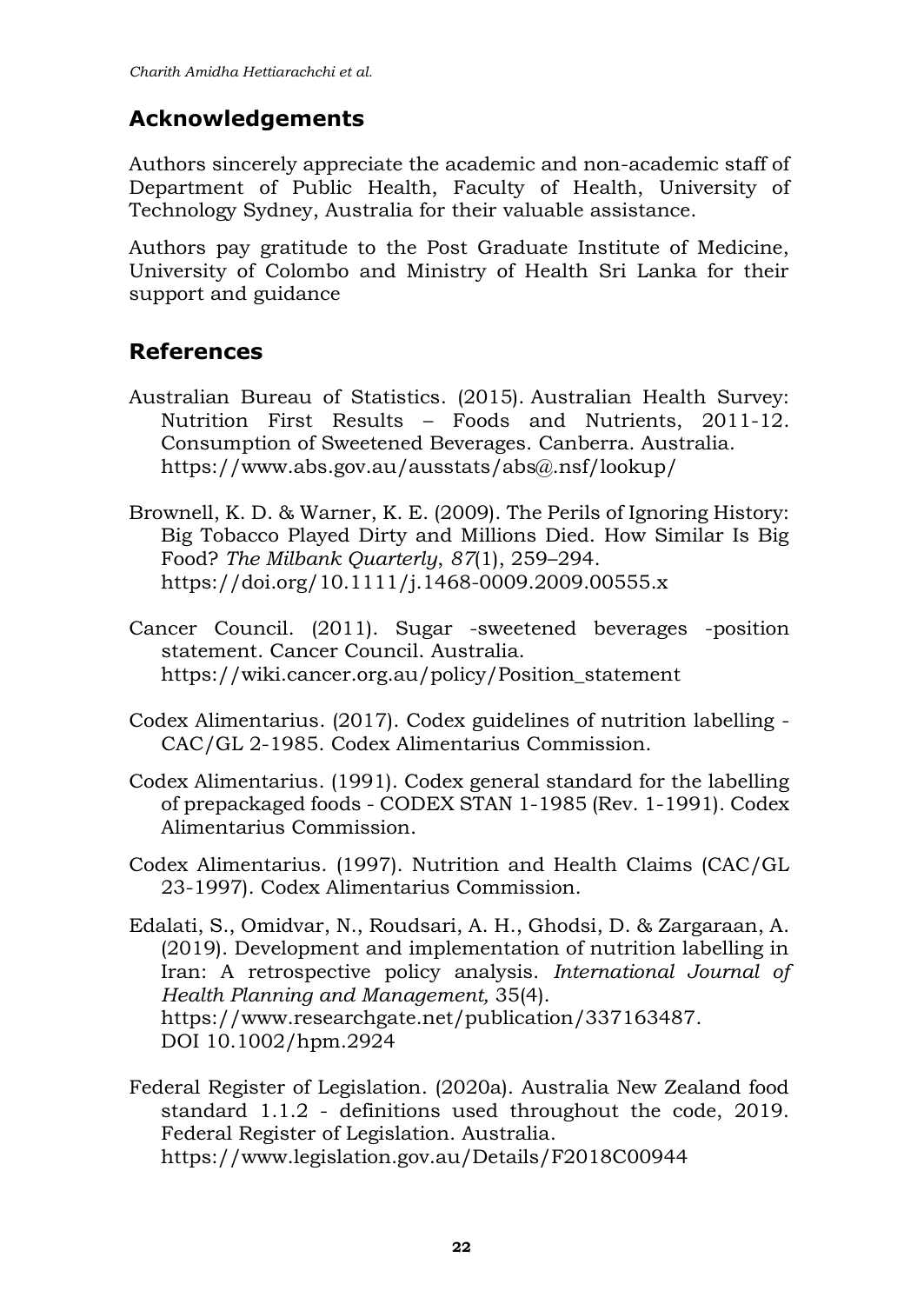### **Acknowledgements**

Authors sincerely appreciate the academic and non-academic staff of Department of Public Health, Faculty of Health, University of Technology Sydney, Australia for their valuable assistance.

Authors pay gratitude to the Post Graduate Institute of Medicine, University of Colombo and Ministry of Health Sri Lanka for their support and guidance

### **References**

- Australian Bureau of Statistics. (2015). [Australian Health Survey:](https://wiki.cancer.org.au/policy/Citation:Australian_Bureau_of_Statistics_2015_2)  Nutrition First Results – [Foods and Nutrients, 2011-12.](https://wiki.cancer.org.au/policy/Citation:Australian_Bureau_of_Statistics_2015_2)  [Consumption of Sweetened Beverages.](https://wiki.cancer.org.au/policy/Citation:Australian_Bureau_of_Statistics_2015_2) Canberra. Australia. <https://www.abs.gov.au/ausstats/abs@.nsf/lookup/>
- Brownell, K. D. & Warner, K. E. (2009). The Perils of Ignoring History: Big Tobacco Played Dirty and Millions Died. How Similar Is Big Food? *The Milbank Quarterly*, *87*(1), 259–294. <https://doi.org/10.1111/j.1468-0009.2009.00555.x>
- Cancer Council. (2011). Sugar -sweetened beverages -position statement. Cancer Council. Australia. [https://wiki.cancer.org.au/policy/Position\\_statement](https://wiki.cancer.org.au/policy/Position_statement)
- Codex Alimentarius. (2017). Codex guidelines of nutrition labelling CAC/GL 2-1985. Codex Alimentarius Commission.
- Codex Alimentarius. (1991). Codex general standard for the labelling of prepackaged foods - CODEX STAN 1-1985 (Rev. 1-1991). Codex Alimentarius Commission.
- Codex Alimentarius. (1997). Nutrition and Health Claims (CAC/GL 23-1997). Codex Alimentarius Commission.
- Edalati, S., Omidvar, N., Roudsari, A. H., Ghodsi, D. & Zargaraan, A. (2019). Development and implementation of nutrition labelling in Iran: A retrospective policy analysis. *International Journal of Health Planning and Management,* 35(4). [https://www.researchgate.net/publication/337163487.](https://www.researchgate.net/publication/337163487) DOI [10.1002/hpm.2924](https://www.researchgate.net/deref/http%3A%2F%2Fdx.doi.org%2F10.1002%2Fhpm.2924?_sg%5B0%5D=YzNFF315ob7t2i6EzlxuFNAyKtAKkXFXSxU9_CfTL2FZsnpz4fRWPmN1nF9QYV9d_TPs2naFoFHIt06RCAGTibxyRA.CDCe1UlR9sechO6HKkn2GPRK0YLDZjRBWcYxFTpnJq22p0rnSunWbm__HAaWvYJVtzcnybLZc6TEZ4Vh61ToNg)
- Federal Register of Legislation. (2020a). Australia New Zealand food standard 1.1.2 - definitions used throughout the code, 2019. Federal Register of Legislation. Australia. <https://www.legislation.gov.au/Details/F2018C00944>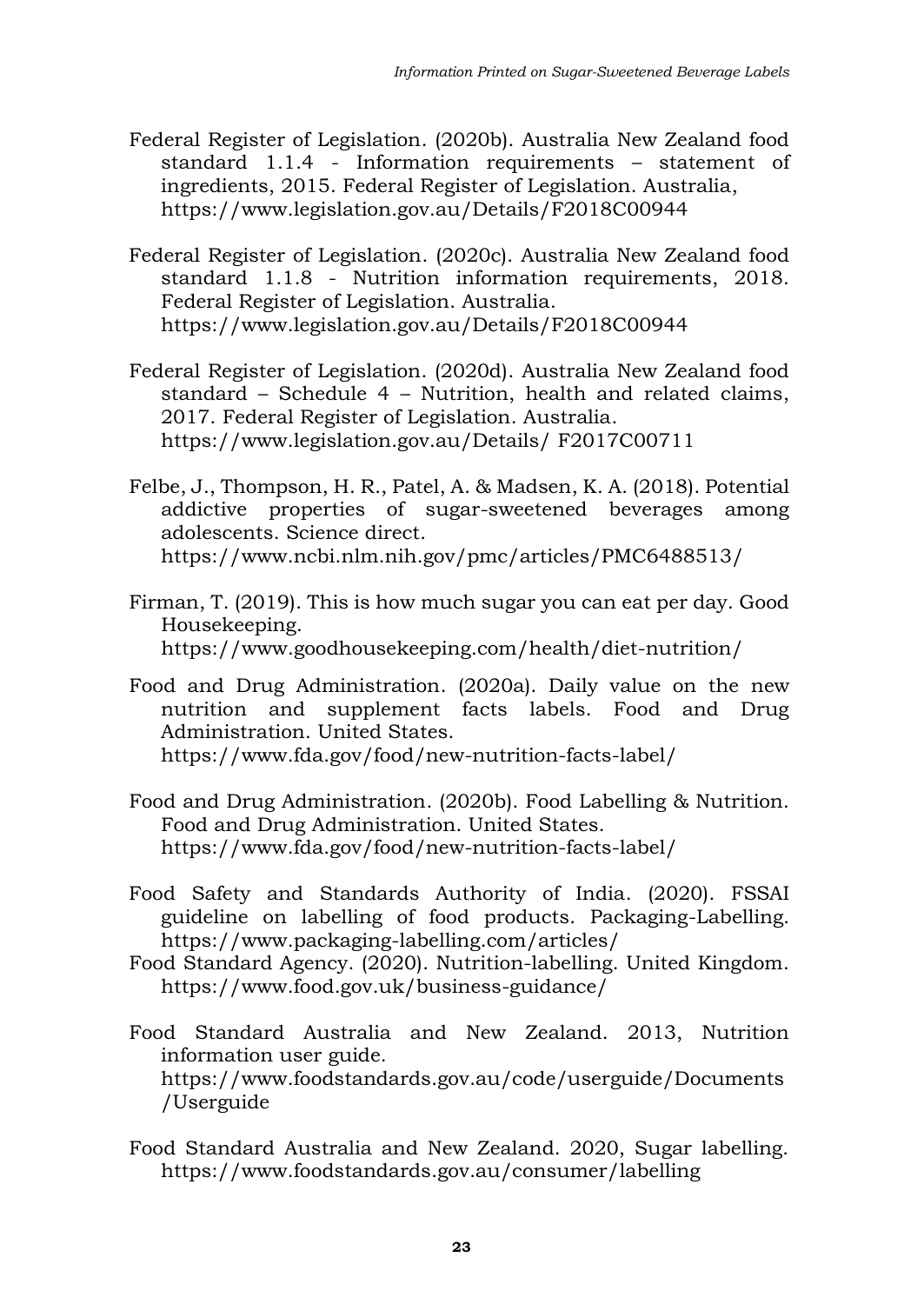- Federal Register of Legislation. (2020b). Australia New Zealand food standard 1.1.4 - Information requirements – statement of ingredients, 2015. Federal Register of Legislation. Australia, <https://www.legislation.gov.au/Details/F2018C00944>
- Federal Register of Legislation. (2020c). Australia New Zealand food standard 1.1.8 - Nutrition information requirements, 2018. Federal Register of Legislation. Australia. <https://www.legislation.gov.au/Details/F2018C00944>
- Federal Register of Legislation. (2020d). Australia New Zealand food standard – Schedule 4 – Nutrition, health and related claims, 2017. Federal Register of Legislation. Australia. [https://www.legislation.gov.au/Details/](https://www.legislation.gov.au/Details/%20F2017C00711) F2017C00711
- Felbe, J., Thompson, H. R., Patel, A. & Madsen, K. A. (2018). Potential addictive properties of sugar-sweetened beverages among adolescents. Science direct. <https://www.ncbi.nlm.nih.gov/pmc/articles/PMC6488513/>
- Firman, T. (2019). This is how much sugar you can eat per day. Good Housekeeping. <https://www.goodhousekeeping.com/health/diet-nutrition/>
- Food and Drug Administration. (2020a). Daily value on the new nutrition and supplement facts labels. Food and Drug Administration. United States. <https://www.fda.gov/food/new-nutrition-facts-label/>
- Food and Drug Administration. (2020b). Food Labelling & Nutrition. Food and Drug Administration. United States. <https://www.fda.gov/food/new-nutrition-facts-label/>
- Food Safety and Standards Authority of India. (2020). FSSAI guideline on labelling of food products. Packaging-Labelling. <https://www.packaging-labelling.com/articles/>
- Food Standard Agency. (2020). Nutrition-labelling. United Kingdom. <https://www.food.gov.uk/business-guidance/>
- Food Standard Australia and New Zealand. 2013, Nutrition information user guide. [https://www.foodstandards.gov.au/code/userguide/Documents](https://www.foodstandards.gov.au/code/userguide/Documents/Userguide) [/Userguide](https://www.foodstandards.gov.au/code/userguide/Documents/Userguide)
- Food Standard Australia and New Zealand. 2020, Sugar labelling. <https://www.foodstandards.gov.au/consumer/labelling>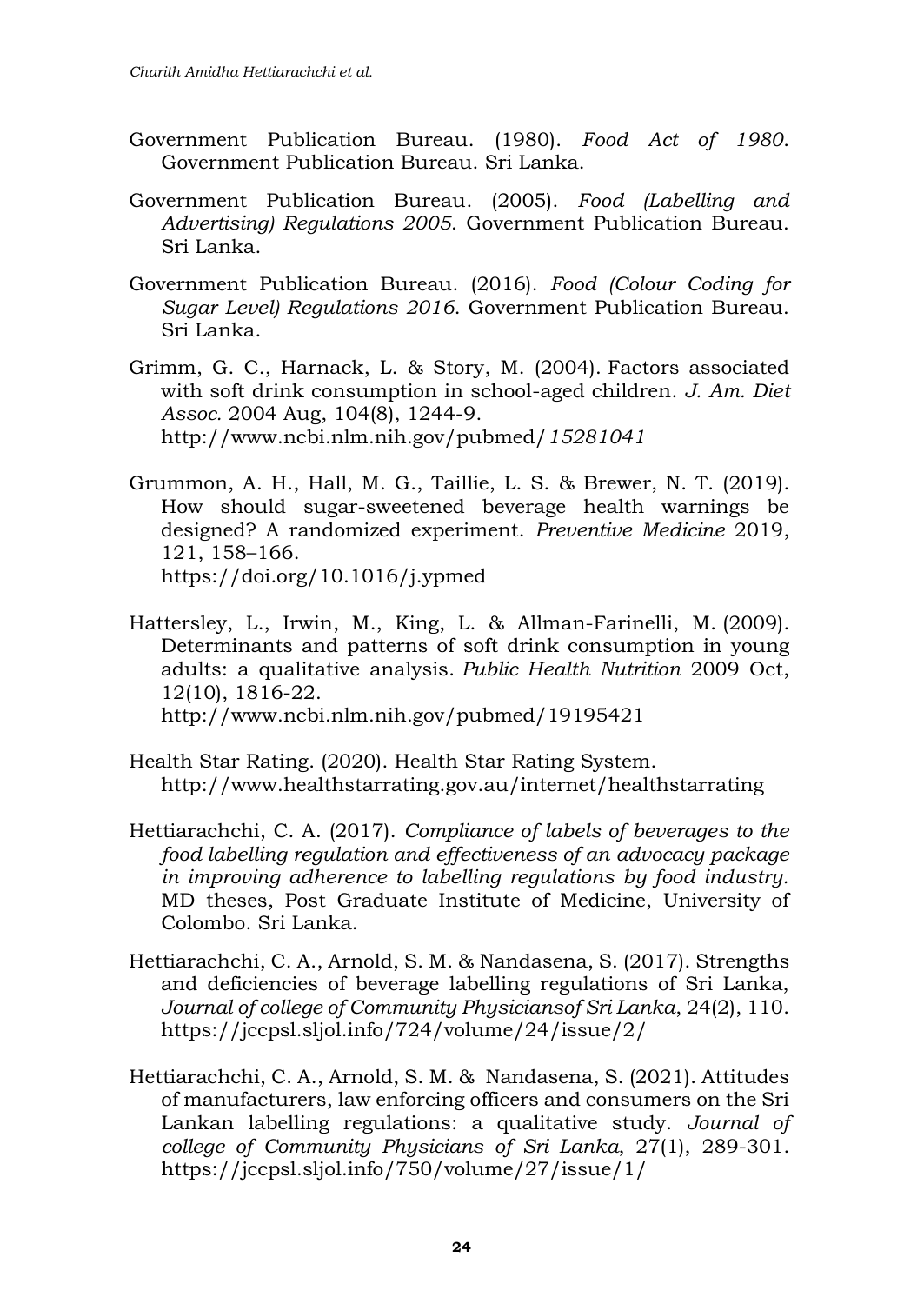- Government Publication Bureau. (1980). *Food Act of 1980*. Government Publication Bureau. Sri Lanka.
- Government Publication Bureau. (2005). *Food (Labelling and Advertising) Regulations 2005*. Government Publication Bureau. Sri Lanka.
- Government Publication Bureau. (2016). *Food (Colour Coding for Sugar Level) Regulations 2016*. Government Publication Bureau. Sri Lanka.
- Grimm, G. C., Harnack, L. & Story, M. (2004). [Factors associated](https://wiki.cancer.org.au/policy/Citation:Grimm_GC,_Harnack_L,_Story_M_2004)  [with soft drink consumption in school-aged children.](https://wiki.cancer.org.au/policy/Citation:Grimm_GC,_Harnack_L,_Story_M_2004) *J. Am. Diet Assoc.* 2004 Aug, 104(8), 1244-9. [http://www.ncbi.nlm.nih.gov/pubmed/](http://www.ncbi.nlm.nih.gov/pubmed/15281041)*[15281041](http://www.ncbi.nlm.nih.gov/pubmed/15281041)*
- Grummon, A. H., Hall, M. G., Taillie, L. S. & Brewer, N. T. (2019). How should sugar-sweetened beverage health warnings be designed? A randomized experiment. *Preventive Medicine* 2019, 121, 158–166. <https://doi.org/10.1016/j.ypmed>
- Hattersley, L., Irwin, M., King, L. & Allman-Farinelli, M. (2009). [Determinants and patterns of soft drink consumption in young](https://wiki.cancer.org.au/policy/Citation:Hattersley_L,_Irwin_M,_King_L,_Allman-Farinelli_M_2009)  [adults: a qualitative analysis.](https://wiki.cancer.org.au/policy/Citation:Hattersley_L,_Irwin_M,_King_L,_Allman-Farinelli_M_2009) *Public Health Nutrition* 2009 Oct, 12(10), 1816-22. http://www.ncbi.nlm.nih.gov/pubmed/19195421
- Health Star Rating. (2020). Health Star Rating System. <http://www.healthstarrating.gov.au/internet/healthstarrating>
- Hettiarachchi, C. A. (2017). *Compliance of labels of beverages to the food labelling regulation and effectiveness of an advocacy package in improving adherence to labelling regulations by food industry.* MD theses, Post Graduate Institute of Medicine, University of Colombo. Sri Lanka.
- Hettiarachchi, C. A., Arnold, S. M. & Nandasena, S. (2017). Strengths and deficiencies of beverage labelling regulations of Sri Lanka, *Journal of college of Community Physiciansof Sri Lanka*, 24(2), 110. <https://jccpsl.sljol.info/724/volume/24/issue/2/>
- Hettiarachchi, C. A., Arnold, S. M. & Nandasena, S. (2021). Attitudes of manufacturers, law enforcing officers and consumers on the Sri Lankan labelling regulations: a qualitative study. *Journal of college of Community Physicians of Sri Lanka*, 27(1), 289-301. <https://jccpsl.sljol.info/750/volume/27/issue/1/>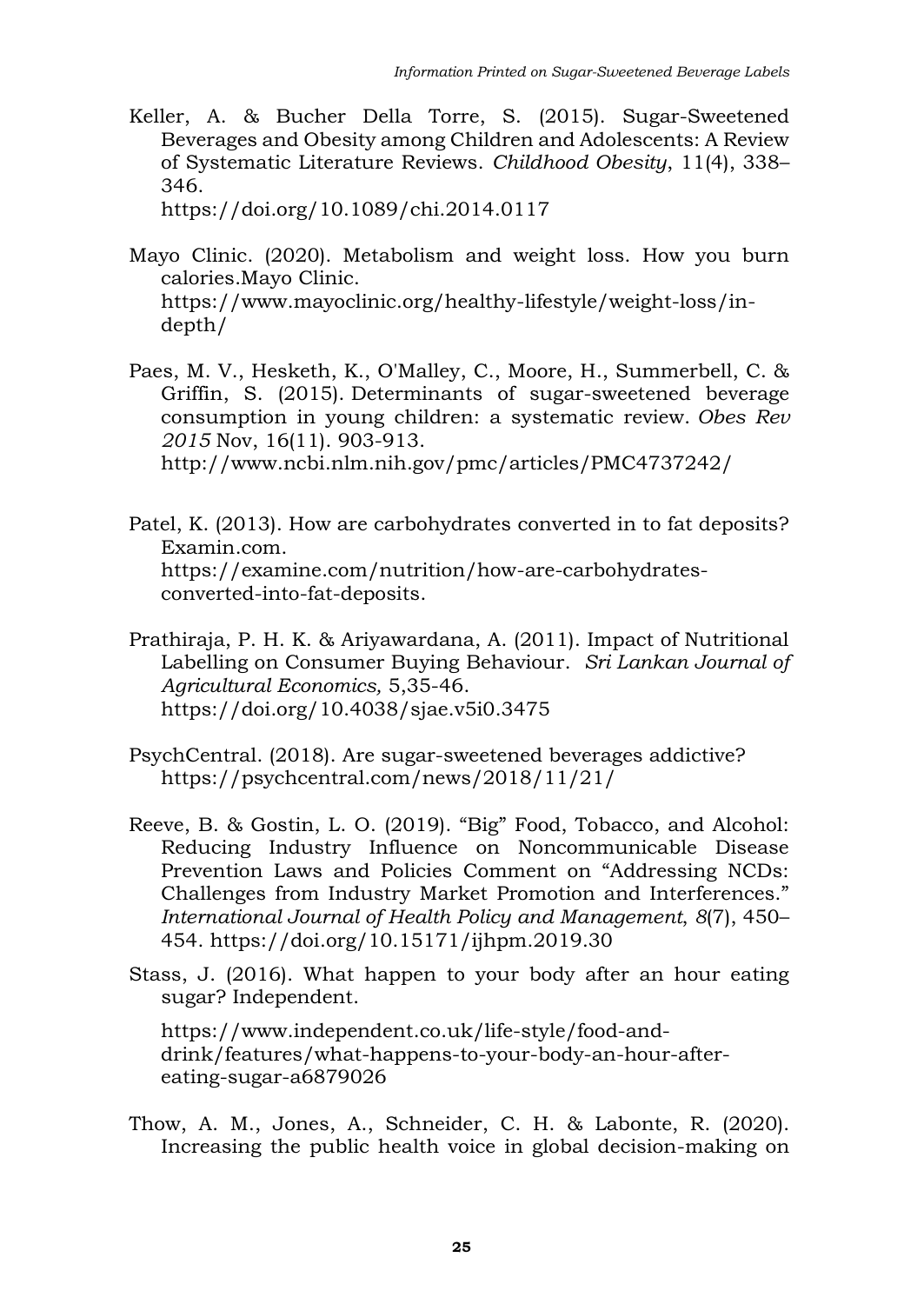Keller, A. & Bucher Della Torre, S. (2015). Sugar-Sweetened Beverages and Obesity among Children and Adolescents: A Review of Systematic Literature Reviews. *Childhood Obesity*, 11(4), 338– 346.

<https://doi.org/10.1089/chi.2014.0117>

- Mayo Clinic. (2020). Metabolism and weight loss. How you burn calories.Mayo Clinic. [https://www.mayoclinic.org/healthy-lifestyle/weight-loss/in](https://www.mayoclinic.org/healthy-lifestyle/weight-loss/in-depth/)[depth/](https://www.mayoclinic.org/healthy-lifestyle/weight-loss/in-depth/)
- Paes, M. V., Hesketh, K., O'Malley, C., Moore, H., Summerbell, C. & Griffin, S. (2015). [Determinants of sugar-sweetened beverage](https://wiki.cancer.org.au/policy/Citation:Mazarello_Paes_V,_Hesketh_K,_O%27Malley_C,_Moore_H,_Summerbell_C,_Griffin_S,_et_al_2015)  [consumption in young children: a systematic review.](https://wiki.cancer.org.au/policy/Citation:Mazarello_Paes_V,_Hesketh_K,_O%27Malley_C,_Moore_H,_Summerbell_C,_Griffin_S,_et_al_2015) *Obes Rev 2015* Nov, 16(11). 903-913. <http://www.ncbi.nlm.nih.gov/pmc/articles/PMC4737242/>

- Patel, K. (2013). How are carbohydrates converted in to fat deposits? Examin.com. [https://examine.com/nutrition/how-are-carbohydrates](https://examine.com/nutrition/how-are-carbohydrates-converted-into-fat-deposits)[converted-into-fat-deposits.](https://examine.com/nutrition/how-are-carbohydrates-converted-into-fat-deposits)
- Prathiraja, P. H. K. & Ariyawardana, A. (2011). Impact of Nutritional Labelling on Consumer Buying Behaviour. *Sri Lankan Journal of Agricultural Economics,* 5,35-46. https://doi.org[/10.4038/sjae.v5i0.3475](https://www.researchgate.net/deref/http%3A%2F%2Fdx.doi.org%2F10.4038%2Fsjae.v5i0.3475?_sg%5B0%5D=AUrS-vMJC7gPLpYDjWJWrJFhmexHU-nFMTJjx5kHwerkCt4aYyEItG93XUc_91p33qbSVfjD5rrse52EZ289J2x6XQ.tp-dskz098eHQUCrGNkHjLHz-prekWcCKTfwoNxvaqt1RCSeBiZ24Xpif4QEiPkIqeUBqVTGN3evFCmY_gF07w)
- PsychCentral. (2018). Are sugar-sweetened beverages addictive? <https://psychcentral.com/news/2018/11/21/>
- Reeve, B. & Gostin, L. O. (2019). "Big" Food, Tobacco, and Alcohol: Reducing Industry Influence on Noncommunicable Disease Prevention Laws and Policies Comment on "Addressing NCDs: Challenges from Industry Market Promotion and Interferences." *International Journal of Health Policy and Management*, *8*(7), 450– 454.<https://doi.org/10.15171/ijhpm.2019.30>
- Stass, J. (2016). What happen to your body after an hour eating sugar? Independent.

[https://www.independent.co.uk/life-style/food-and](https://www.independent.co.uk/life-style/food-and-drink/features/what-happens-to-your-body-an-hour-after-eating-sugar-a6879026)[drink/features/what-happens-to-your-body-an-hour-after](https://www.independent.co.uk/life-style/food-and-drink/features/what-happens-to-your-body-an-hour-after-eating-sugar-a6879026)[eating-sugar-a6879026](https://www.independent.co.uk/life-style/food-and-drink/features/what-happens-to-your-body-an-hour-after-eating-sugar-a6879026)

Thow, A. M., Jones, A., Schneider, C. H. & Labonte, R. (2020). Increasing the public health voice in global decision-making on